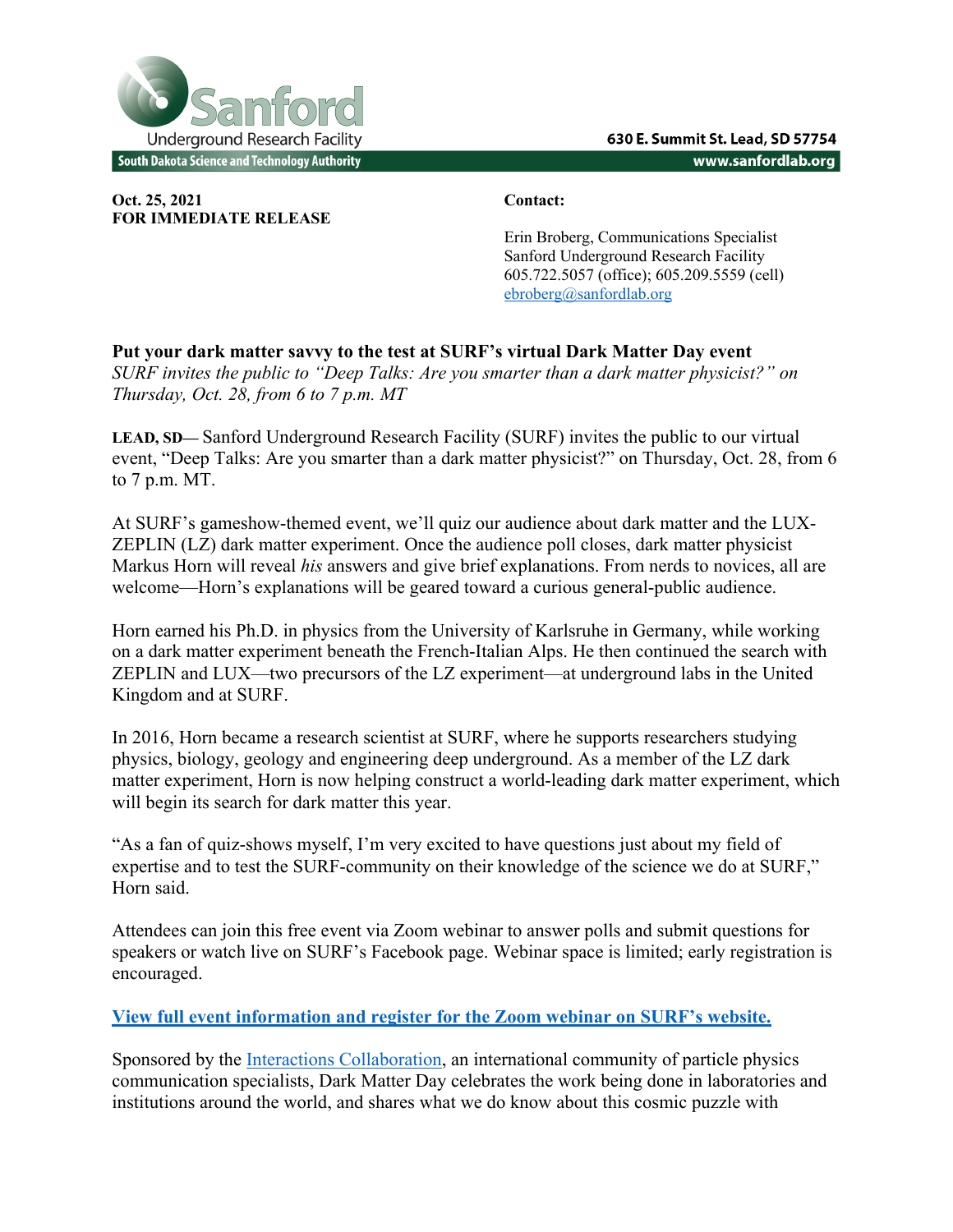

**Oct. 25, 2021 Contact: FOR IMMEDIATE RELEASE**

Erin Broberg, Communications Specialist Sanford Underground Research Facility 605.722.5057 (office); 605.209.5559 (cell) ebroberg@sanfordlab.org

**Put your dark matter savvy to the test at SURF's virtual Dark Matter Day event** *SURF invites the public to "Deep Talks: Are you smarter than a dark matter physicist?" on Thursday, Oct. 28, from 6 to 7 p.m. MT* 

**LEAD, SD—** Sanford Underground Research Facility (SURF) invites the public to our virtual event, "Deep Talks: Are you smarter than a dark matter physicist?" on Thursday, Oct. 28, from 6 to 7 p.m. MT.

At SURF's gameshow-themed event, we'll quiz our audience about dark matter and the LUX-ZEPLIN (LZ) dark matter experiment. Once the audience poll closes, dark matter physicist Markus Horn will reveal *his* answers and give brief explanations. From nerds to novices, all are welcome—Horn's explanations will be geared toward a curious general-public audience.

Horn earned his Ph.D. in physics from the University of Karlsruhe in Germany, while working on a dark matter experiment beneath the French-Italian Alps. He then continued the search with ZEPLIN and LUX—two precursors of the LZ experiment—at underground labs in the United Kingdom and at SURF.

In 2016, Horn became a research scientist at SURF, where he supports researchers studying physics, biology, geology and engineering deep underground. As a member of the LZ dark matter experiment, Horn is now helping construct a world-leading dark matter experiment, which will begin its search for dark matter this year.

"As a fan of quiz-shows myself, I'm very excited to have questions just about my field of expertise and to test the SURF-community on their knowledge of the science we do at SURF," Horn said.

Attendees can join this free event via Zoom webinar to answer polls and submit questions for speakers or watch live on SURF's Facebook page. Webinar space is limited; early registration is encouraged.

## **View full event information and register for the Zoom webinar on SURF's website.**

Sponsored by the Interactions Collaboration, an international community of particle physics communication specialists, Dark Matter Day celebrates the work being done in laboratories and institutions around the world, and shares what we do know about this cosmic puzzle with